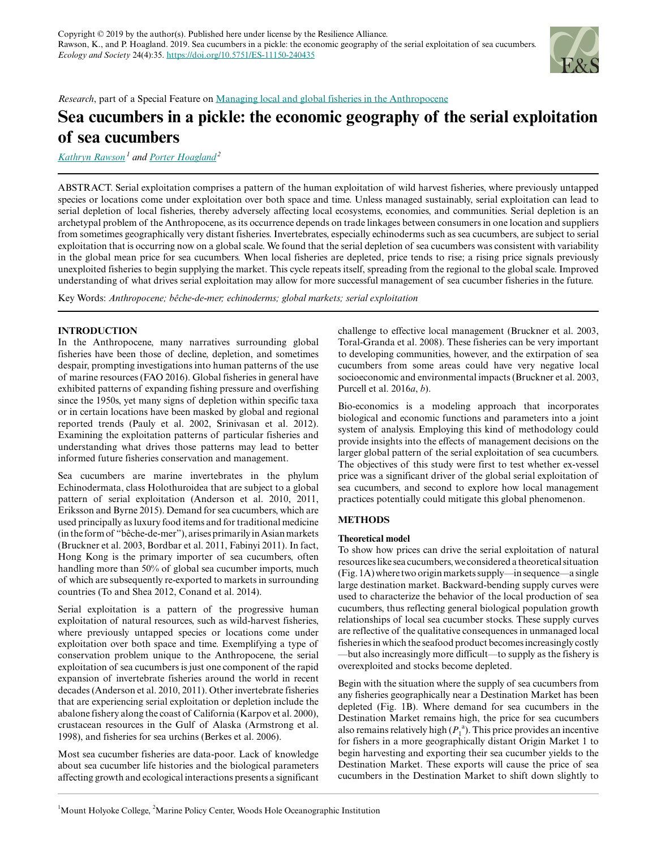

*Research*, part of a Special Feature on [Managing local and global fisheries in the Anthropocene](https://www.ecologyandsociety.org/viewissue.php?sf=137)

# **Sea cucumbers in a pickle: the economic geography of the serial exploitation of sea cucumbers**

*[Kathryn Rawson](mailto:rawso22k@mtholyoke.edu)<sup>1</sup> and [Porter Hoagland](mailto:phoagland@whoi.edu)<sup>2</sup>*

ABSTRACT. Serial exploitation comprises a pattern of the human exploitation of wild harvest fisheries, where previously untapped species or locations come under exploitation over both space and time. Unless managed sustainably, serial exploitation can lead to serial depletion of local fisheries, thereby adversely affecting local ecosystems, economies, and communities. Serial depletion is an archetypal problem of the Anthropocene, as its occurrence depends on trade linkages between consumers in one location and suppliers from sometimes geographically very distant fisheries. Invertebrates, especially echinoderms such as sea cucumbers, are subject to serial exploitation that is occurring now on a global scale. We found that the serial depletion of sea cucumbers was consistent with variability in the global mean price for sea cucumbers. When local fisheries are depleted, price tends to rise; a rising price signals previously unexploited fisheries to begin supplying the market. This cycle repeats itself, spreading from the regional to the global scale. Improved understanding of what drives serial exploitation may allow for more successful management of sea cucumber fisheries in the future.

Key Words: *Anthropocene; bêche-de-mer; echinoderms; global markets; serial exploitation*

## **INTRODUCTION**

In the Anthropocene, many narratives surrounding global fisheries have been those of decline, depletion, and sometimes despair, prompting investigations into human patterns of the use of marine resources (FAO 2016). Global fisheries in general have exhibited patterns of expanding fishing pressure and overfishing since the 1950s, yet many signs of depletion within specific taxa or in certain locations have been masked by global and regional reported trends (Pauly et al. 2002, Srinivasan et al. 2012). Examining the exploitation patterns of particular fisheries and understanding what drives those patterns may lead to better informed future fisheries conservation and management.

Sea cucumbers are marine invertebrates in the phylum Echinodermata, class Holothuroidea that are subject to a global pattern of serial exploitation (Anderson et al. 2010, 2011, Eriksson and Byrne 2015). Demand for sea cucumbers, which are used principally as luxury food items and for traditional medicine (in the form of "bêche-de-mer"), arises primarily in Asian markets (Bruckner et al. 2003, Bordbar et al. 2011, Fabinyi 2011). In fact, Hong Kong is the primary importer of sea cucumbers, often handling more than 50% of global sea cucumber imports, much of which are subsequently re-exported to markets in surrounding countries (To and Shea 2012, Conand et al. 2014).

Serial exploitation is a pattern of the progressive human exploitation of natural resources, such as wild-harvest fisheries, where previously untapped species or locations come under exploitation over both space and time. Exemplifying a type of conservation problem unique to the Anthropocene, the serial exploitation of sea cucumbers is just one component of the rapid expansion of invertebrate fisheries around the world in recent decades (Anderson et al. 2010, 2011). Other invertebrate fisheries that are experiencing serial exploitation or depletion include the abalone fishery along the coast of California (Karpov et al. 2000), crustacean resources in the Gulf of Alaska (Armstrong et al. 1998), and fisheries for sea urchins (Berkes et al. 2006).

Most sea cucumber fisheries are data-poor. Lack of knowledge about sea cucumber life histories and the biological parameters affecting growth and ecological interactions presents a significant challenge to effective local management (Bruckner et al. 2003, Toral-Granda et al. 2008). These fisheries can be very important to developing communities, however, and the extirpation of sea cucumbers from some areas could have very negative local socioeconomic and environmental impacts (Bruckner et al. 2003, Purcell et al. 2016*a*, *b*).

Bio-economics is a modeling approach that incorporates biological and economic functions and parameters into a joint system of analysis. Employing this kind of methodology could provide insights into the effects of management decisions on the larger global pattern of the serial exploitation of sea cucumbers. The objectives of this study were first to test whether ex-vessel price was a significant driver of the global serial exploitation of sea cucumbers, and second to explore how local management practices potentially could mitigate this global phenomenon.

# **METHODS**

## **Theoretical model**

To show how prices can drive the serial exploitation of natural resources like sea cucumbers, we considered a theoretical situation (Fig. 1A) where two origin markets supply—in sequence—a single large destination market. Backward-bending supply curves were used to characterize the behavior of the local production of sea cucumbers, thus reflecting general biological population growth relationships of local sea cucumber stocks. These supply curves are reflective of the qualitative consequences in unmanaged local fisheries in which the seafood product becomes increasingly costly —but also increasingly more difficult—to supply as the fishery is overexploited and stocks become depleted.

Begin with the situation where the supply of sea cucumbers from any fisheries geographically near a Destination Market has been depleted (Fig. 1B). Where demand for sea cucumbers in the Destination Market remains high, the price for sea cucumbers also remains relatively high  $(P_1^a)$ . This price provides an incentive for fishers in a more geographically distant Origin Market 1 to begin harvesting and exporting their sea cucumber yields to the Destination Market. These exports will cause the price of sea cucumbers in the Destination Market to shift down slightly to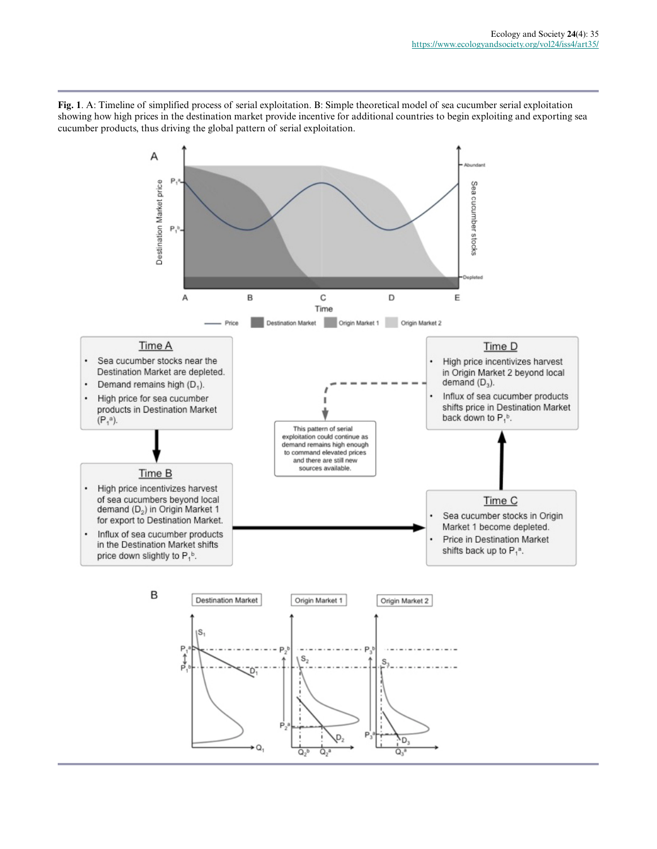**Fig. 1**. A: Timeline of simplified process of serial exploitation. B: Simple theoretical model of sea cucumber serial exploitation showing how high prices in the destination market provide incentive for additional countries to begin exploiting and exporting sea cucumber products, thus driving the global pattern of serial exploitation.

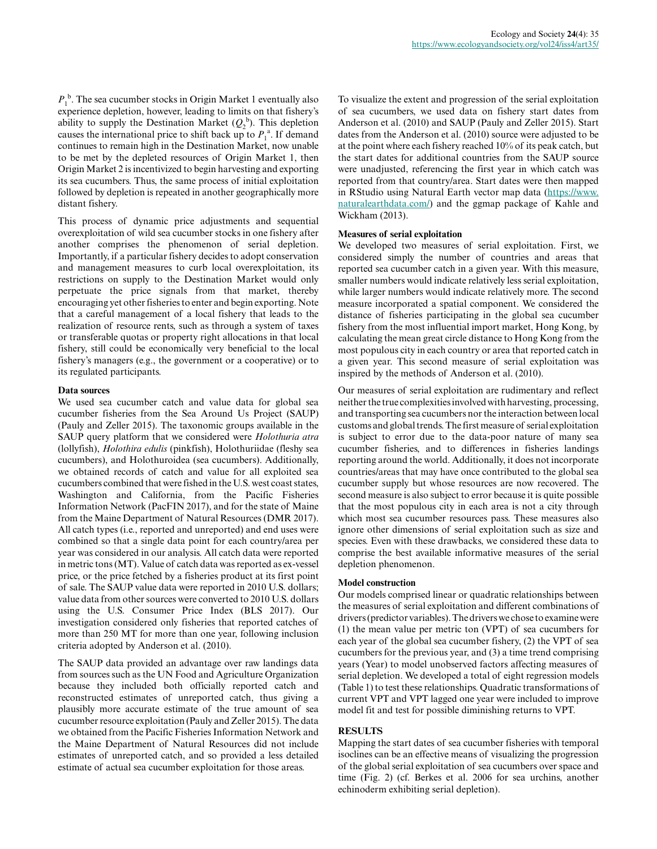$P_1^{\text{b}}$ . The sea cucumber stocks in Origin Market 1 eventually also experience depletion, however, leading to limits on that fishery's ability to supply the Destination Market  $(Q_2^{\{b\}})$ . This depletion causes the international price to shift back up to  $P_1^a$ . If demand continues to remain high in the Destination Market, now unable to be met by the depleted resources of Origin Market 1, then Origin Market 2 is incentivized to begin harvesting and exporting its sea cucumbers. Thus, the same process of initial exploitation followed by depletion is repeated in another geographically more distant fishery.

This process of dynamic price adjustments and sequential overexploitation of wild sea cucumber stocks in one fishery after another comprises the phenomenon of serial depletion. Importantly, if a particular fishery decides to adopt conservation and management measures to curb local overexploitation, its restrictions on supply to the Destination Market would only perpetuate the price signals from that market, thereby encouraging yet other fisheries to enter and begin exporting. Note that a careful management of a local fishery that leads to the realization of resource rents, such as through a system of taxes or transferable quotas or property right allocations in that local fishery, still could be economically very beneficial to the local fishery's managers (e.g., the government or a cooperative) or to its regulated participants.

#### **Data sources**

We used sea cucumber catch and value data for global sea cucumber fisheries from the Sea Around Us Project (SAUP) (Pauly and Zeller 2015). The taxonomic groups available in the SAUP query platform that we considered were *Holothuria atra* (lollyfish), *Holothira edulis* (pinkfish), Holothuriidae (fleshy sea cucumbers), and Holothuroidea (sea cucumbers). Additionally, we obtained records of catch and value for all exploited sea cucumbers combined that were fished in the U.S. west coast states, Washington and California, from the Pacific Fisheries Information Network (PacFIN 2017), and for the state of Maine from the Maine Department of Natural Resources (DMR 2017). All catch types (i.e., reported and unreported) and end uses were combined so that a single data point for each country/area per year was considered in our analysis. All catch data were reported in metric tons (MT). Value of catch data was reported as ex-vessel price, or the price fetched by a fisheries product at its first point of sale. The SAUP value data were reported in 2010 U.S. dollars; value data from other sources were converted to 2010 U.S. dollars using the U.S. Consumer Price Index (BLS 2017). Our investigation considered only fisheries that reported catches of more than 250 MT for more than one year, following inclusion criteria adopted by Anderson et al. (2010).

The SAUP data provided an advantage over raw landings data from sources such as the UN Food and Agriculture Organization because they included both officially reported catch and reconstructed estimates of unreported catch, thus giving a plausibly more accurate estimate of the true amount of sea cucumber resource exploitation (Pauly and Zeller 2015). The data we obtained from the Pacific Fisheries Information Network and the Maine Department of Natural Resources did not include estimates of unreported catch, and so provided a less detailed estimate of actual sea cucumber exploitation for those areas.

To visualize the extent and progression of the serial exploitation of sea cucumbers, we used data on fishery start dates from Anderson et al. (2010) and SAUP (Pauly and Zeller 2015). Start dates from the Anderson et al. (2010) source were adjusted to be at the point where each fishery reached 10% of its peak catch, but the start dates for additional countries from the SAUP source were unadjusted, referencing the first year in which catch was reported from that country/area. Start dates were then mapped in RStudio using Natural Earth vector map data [\(https://www.](https://www.naturalearthdata.com/) [naturalearthdata.com/](https://www.naturalearthdata.com/)) and the ggmap package of Kahle and Wickham (2013).

#### **Measures of serial exploitation**

We developed two measures of serial exploitation. First, we considered simply the number of countries and areas that reported sea cucumber catch in a given year. With this measure, smaller numbers would indicate relatively less serial exploitation, while larger numbers would indicate relatively more. The second measure incorporated a spatial component. We considered the distance of fisheries participating in the global sea cucumber fishery from the most influential import market, Hong Kong, by calculating the mean great circle distance to Hong Kong from the most populous city in each country or area that reported catch in a given year. This second measure of serial exploitation was inspired by the methods of Anderson et al. (2010).

Our measures of serial exploitation are rudimentary and reflect neither the true complexities involved with harvesting, processing, and transporting sea cucumbers nor the interaction between local customs and global trends. The first measure of serial exploitation is subject to error due to the data-poor nature of many sea cucumber fisheries, and to differences in fisheries landings reporting around the world. Additionally, it does not incorporate countries/areas that may have once contributed to the global sea cucumber supply but whose resources are now recovered. The second measure is also subject to error because it is quite possible that the most populous city in each area is not a city through which most sea cucumber resources pass. These measures also ignore other dimensions of serial exploitation such as size and species. Even with these drawbacks, we considered these data to comprise the best available informative measures of the serial depletion phenomenon.

## **Model construction**

Our models comprised linear or quadratic relationships between the measures of serial exploitation and different combinations of drivers (predictor variables). The drivers we chose to examine were (1) the mean value per metric ton (VPT) of sea cucumbers for each year of the global sea cucumber fishery, (2) the VPT of sea cucumbers for the previous year, and (3) a time trend comprising years (Year) to model unobserved factors affecting measures of serial depletion. We developed a total of eight regression models (Table 1) to test these relationships. Quadratic transformations of current VPT and VPT lagged one year were included to improve model fit and test for possible diminishing returns to VPT.

## **RESULTS**

Mapping the start dates of sea cucumber fisheries with temporal isoclines can be an effective means of visualizing the progression of the global serial exploitation of sea cucumbers over space and time (Fig. 2) (cf. Berkes et al. 2006 for sea urchins, another echinoderm exhibiting serial depletion).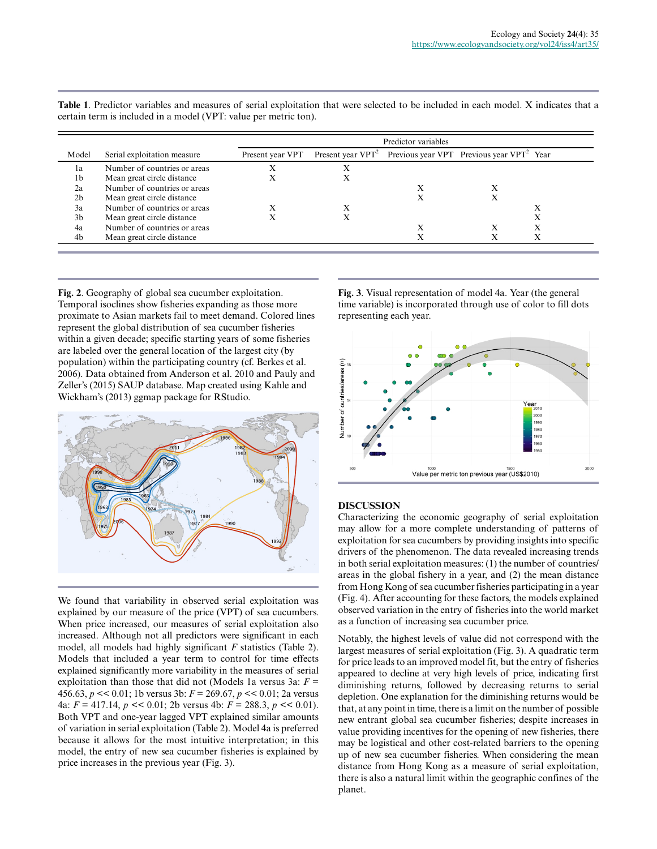|                |                              | Predictor variables |                     |   |                                             |           |  |  |
|----------------|------------------------------|---------------------|---------------------|---|---------------------------------------------|-----------|--|--|
| Model          | Serial exploitation measure  | Present year VPT    | Present year $VPT2$ |   | Previous year VPT Previous year $VPT2$ Year |           |  |  |
| 1a             | Number of countries or areas |                     |                     |   |                                             |           |  |  |
| 1b             | Mean great circle distance   |                     |                     |   |                                             |           |  |  |
| 2a             | Number of countries or areas |                     |                     |   |                                             |           |  |  |
| 2 <sub>b</sub> | Mean great circle distance   |                     |                     | х |                                             |           |  |  |
| 3a             | Number of countries or areas |                     |                     |   |                                             |           |  |  |
| 3 <sub>b</sub> | Mean great circle distance   |                     |                     |   |                                             |           |  |  |
| 4a             | Number of countries or areas |                     |                     |   |                                             | $\lambda$ |  |  |
| 4b             | Mean great circle distance   |                     |                     |   |                                             |           |  |  |

**Table 1**. Predictor variables and measures of serial exploitation that were selected to be included in each model. X indicates that a certain term is included in a model (VPT: value per metric ton).

**Fig. 2**. Geography of global sea cucumber exploitation. Temporal isoclines show fisheries expanding as those more proximate to Asian markets fail to meet demand. Colored lines represent the global distribution of sea cucumber fisheries within a given decade; specific starting years of some fisheries are labeled over the general location of the largest city (by population) within the participating country (cf. Berkes et al. 2006). Data obtained from Anderson et al. 2010 and Pauly and Zeller's (2015) SAUP database. Map created using Kahle and Wickham's (2013) ggmap package for RStudio.



We found that variability in observed serial exploitation was explained by our measure of the price (VPT) of sea cucumbers. When price increased, our measures of serial exploitation also increased. Although not all predictors were significant in each model, all models had highly significant *F* statistics (Table 2). Models that included a year term to control for time effects explained significantly more variability in the measures of serial exploitation than those that did not (Models 1a versus 3a:  $F =$ 456.63, *p* << 0.01; 1b versus 3b: *F* = 269.67, *p* << 0.01; 2a versus 4a:  $F = 417.14$ ,  $p \ll 0.01$ ; 2b versus 4b:  $F = 288.3$ ,  $p \ll 0.01$ ). Both VPT and one-year lagged VPT explained similar amounts of variation in serial exploitation (Table 2). Model 4a is preferred because it allows for the most intuitive interpretation; in this model, the entry of new sea cucumber fisheries is explained by price increases in the previous year (Fig. 3).

**Fig. 3**. Visual representation of model 4a. Year (the general time variable) is incorporated through use of color to fill dots representing each year.



# **DISCUSSION**

Characterizing the economic geography of serial exploitation may allow for a more complete understanding of patterns of exploitation for sea cucumbers by providing insights into specific drivers of the phenomenon. The data revealed increasing trends in both serial exploitation measures: (1) the number of countries/ areas in the global fishery in a year, and (2) the mean distance from Hong Kong of sea cucumber fisheries participating in a year (Fig. 4). After accounting for these factors, the models explained observed variation in the entry of fisheries into the world market as a function of increasing sea cucumber price.

Notably, the highest levels of value did not correspond with the largest measures of serial exploitation (Fig. 3). A quadratic term for price leads to an improved model fit, but the entry of fisheries appeared to decline at very high levels of price, indicating first diminishing returns, followed by decreasing returns to serial depletion. One explanation for the diminishing returns would be that, at any point in time, there is a limit on the number of possible new entrant global sea cucumber fisheries; despite increases in value providing incentives for the opening of new fisheries, there may be logistical and other cost-related barriers to the opening up of new sea cucumber fisheries. When considering the mean distance from Hong Kong as a measure of serial exploitation, there is also a natural limit within the geographic confines of the planet.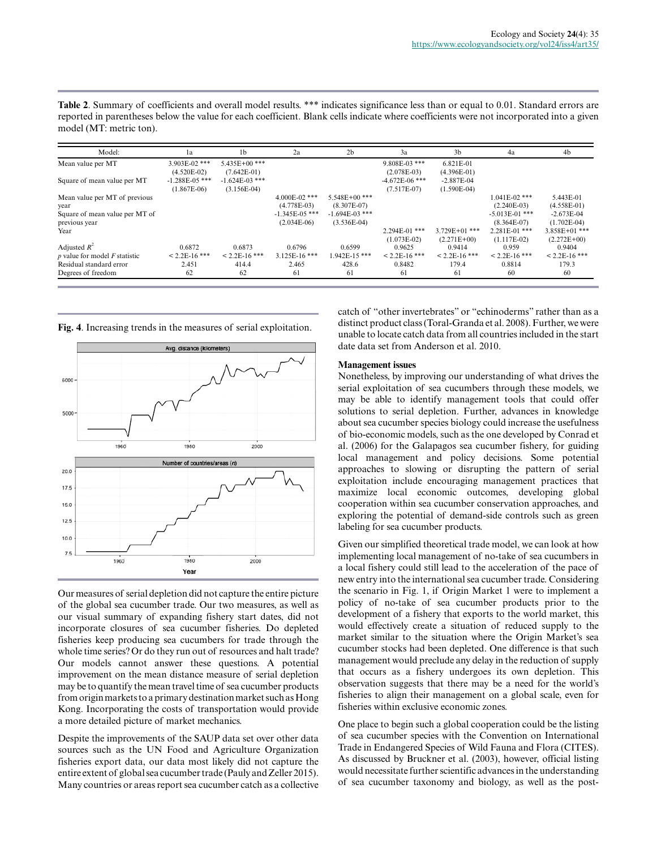| Table 2. Summary of coefficients and overall model results. *** indicates significance less than or equal to 0.01. Standard errors are   |
|------------------------------------------------------------------------------------------------------------------------------------------|
| reported in parentheses below the value for each coefficient. Blank cells indicate where coefficients were not incorporated into a given |
| model (MT: metric ton).                                                                                                                  |

| Model:                            | 1a                | 1b                | 2a               | 2 <sub>b</sub>   | 3a                | 3 <sub>b</sub>    | 4a                | 4b                |
|-----------------------------------|-------------------|-------------------|------------------|------------------|-------------------|-------------------|-------------------|-------------------|
| Mean value per MT                 | 3.903E-02 ***     | $5.435E+00$ ***   |                  |                  | 9.808E-03 ***     | 6.821E-01         |                   |                   |
|                                   | $(4.520E-02)$     | $(7.642E-01)$     |                  |                  | $(2.078E-03)$     | $(4.396E-01)$     |                   |                   |
| Square of mean value per MT       | $-1.288E-05$ ***  | $-1.624E-03$ ***  |                  |                  | $-4.672E-06$ ***  | $-2.887E - 04$    |                   |                   |
|                                   | $(1.867E-06)$     | $(3.156E-04)$     |                  |                  | $(7.517E-07)$     | $(1.590E-04)$     |                   |                   |
| Mean value per MT of previous     |                   |                   | 4.000E-02 ***    | $5.548E+00$ ***  |                   |                   | $1.041E - 02$ *** | 5.443E-01         |
| year                              |                   |                   | $(4.778E-03)$    | $(8.307E-07)$    |                   |                   | $(2.240E-03)$     | $(4.558E-01)$     |
| Square of mean value per MT of    |                   |                   | $-1.345E-05$ *** | $-1.694E-03$ *** |                   |                   | $-5.013E-01$ ***  | $-2.673E-04$      |
| previous year                     |                   |                   | $(2.034E-06)$    | $(3.536E-04)$    |                   |                   | $(8.364E-07)$     | $(1.702E-04)$     |
| Year                              |                   |                   |                  |                  | 2.294E-01 ***     | $3.729E + 01$ *** | $2.281E-01$ ***   | $3.858E+01$ ***   |
|                                   |                   |                   |                  |                  | $(1.073E-02)$     | $(2.271E+00)$     | $(1.117E-02)$     | $(2.272E+00)$     |
| Adjusted $R^2$                    | 0.6872            | 0.6873            | 0.6796           | 0.6599           | 0.9625            | 0.9414            | 0.959             | 0.9404            |
| $p$ value for model $F$ statistic | $< 2.2E - 16$ *** | $< 2.2E - 16$ *** | $3.125E-16$ ***  | $1.942E-15$ ***  | $< 2.2E - 16$ *** | $< 2.2E - 16$ *** | $< 2.2E - 16$ *** | $< 2.2E - 16$ *** |
| Residual standard error           | 2.451             | 414.4             | 2.465            | 428.6            | 0.8482            | 179.4             | 0.8814            | 179.3             |
| Degrees of freedom                | 62                | 62                | 61               | 61               | 61                | 61                | 60                | 60                |

**Fig. 4**. Increasing trends in the measures of serial exploitation.



Our measures of serial depletion did not capture the entire picture of the global sea cucumber trade. Our two measures, as well as our visual summary of expanding fishery start dates, did not incorporate closures of sea cucumber fisheries. Do depleted fisheries keep producing sea cucumbers for trade through the whole time series? Or do they run out of resources and halt trade? Our models cannot answer these questions. A potential improvement on the mean distance measure of serial depletion may be to quantify the mean travel time of sea cucumber products from origin markets to a primary destination market such as Hong Kong. Incorporating the costs of transportation would provide a more detailed picture of market mechanics.

Despite the improvements of the SAUP data set over other data sources such as the UN Food and Agriculture Organization fisheries export data, our data most likely did not capture the entire extent of global sea cucumber trade (Pauly and Zeller 2015). Many countries or areas report sea cucumber catch as a collective catch of "other invertebrates" or "echinoderms" rather than as a distinct product class (Toral-Granda et al. 2008). Further, we were unable to locate catch data from all countries included in the start date data set from Anderson et al. 2010.

#### **Management issues**

Nonetheless, by improving our understanding of what drives the serial exploitation of sea cucumbers through these models, we may be able to identify management tools that could offer solutions to serial depletion. Further, advances in knowledge about sea cucumber species biology could increase the usefulness of bio-economic models, such as the one developed by Conrad et al. (2006) for the Galapagos sea cucumber fishery, for guiding local management and policy decisions. Some potential approaches to slowing or disrupting the pattern of serial exploitation include encouraging management practices that maximize local economic outcomes, developing global cooperation within sea cucumber conservation approaches, and exploring the potential of demand-side controls such as green labeling for sea cucumber products.

Given our simplified theoretical trade model, we can look at how implementing local management of no-take of sea cucumbers in a local fishery could still lead to the acceleration of the pace of new entry into the international sea cucumber trade. Considering the scenario in Fig. 1, if Origin Market 1 were to implement a policy of no-take of sea cucumber products prior to the development of a fishery that exports to the world market, this would effectively create a situation of reduced supply to the market similar to the situation where the Origin Market's sea cucumber stocks had been depleted. One difference is that such management would preclude any delay in the reduction of supply that occurs as a fishery undergoes its own depletion. This observation suggests that there may be a need for the world's fisheries to align their management on a global scale, even for fisheries within exclusive economic zones.

One place to begin such a global cooperation could be the listing of sea cucumber species with the Convention on International Trade in Endangered Species of Wild Fauna and Flora (CITES). As discussed by Bruckner et al. (2003), however, official listing would necessitate further scientific advances in the understanding of sea cucumber taxonomy and biology, as well as the post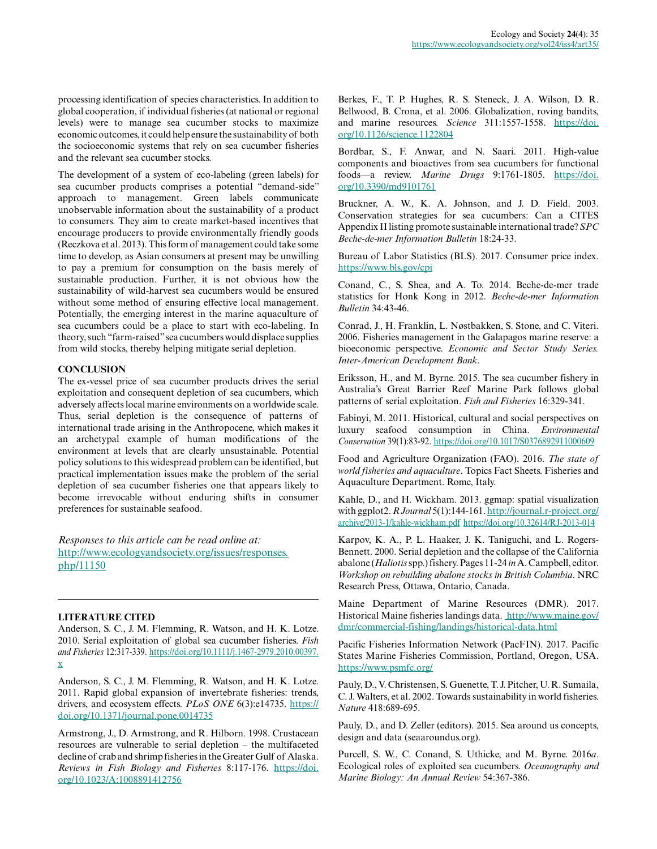processing identification of species characteristics. In addition to global cooperation, if individual fisheries (at national or regional levels) were to manage sea cucumber stocks to maximize economic outcomes, it could help ensure the sustainability of both the socioeconomic systems that rely on sea cucumber fisheries and the relevant sea cucumber stocks.

The development of a system of eco-labeling (green labels) for sea cucumber products comprises a potential "demand-side" approach to management. Green labels communicate unobservable information about the sustainability of a product to consumers. They aim to create market-based incentives that encourage producers to provide environmentally friendly goods (Reczkova et al. 2013). This form of management could take some time to develop, as Asian consumers at present may be unwilling to pay a premium for consumption on the basis merely of sustainable production. Further, it is not obvious how the sustainability of wild-harvest sea cucumbers would be ensured without some method of ensuring effective local management. Potentially, the emerging interest in the marine aquaculture of sea cucumbers could be a place to start with eco-labeling. In theory, such "farm-raised" sea cucumbers would displace supplies from wild stocks, thereby helping mitigate serial depletion.

#### **CONCLUSION**

The ex-vessel price of sea cucumber products drives the serial exploitation and consequent depletion of sea cucumbers, which adversely affects local marine environments on a worldwide scale. Thus, serial depletion is the consequence of patterns of international trade arising in the Anthropocene, which makes it an archetypal example of human modifications of the environment at levels that are clearly unsustainable. Potential policy solutions to this widespread problem can be identified, but practical implementation issues make the problem of the serial depletion of sea cucumber fisheries one that appears likely to become irrevocable without enduring shifts in consumer preferences for sustainable seafood.

*Responses to this article can be read online at:* [http://www.ecologyandsociety.org/issues/responses.](http://www.ecologyandsociety.org/issues/responses.php/11150) [php/11150](http://www.ecologyandsociety.org/issues/responses.php/11150)

#### **LITERATURE CITED**

Anderson, S. C., J. M. Flemming, R. Watson, and H. K. Lotze. 2010. Serial exploitation of global sea cucumber fisheries. *Fish and Fisheries* 12:317-339. [https://doi.org/10.1111/j.1467-2979.2010.00397.](https://doi.org/10.1111/j.1467-2979.2010.00397.x) [x](https://doi.org/10.1111/j.1467-2979.2010.00397.x)

Anderson, S. C., J. M. Flemming, R. Watson, and H. K. Lotze. 2011. Rapid global expansion of invertebrate fisheries: trends, drivers, and ecosystem effects. *PLoS ONE* 6(3):e14735. [https://](https://doi.org/10.1371/journal.pone.0014735) [doi.org/10.1371/journal.pone.0014735](https://doi.org/10.1371/journal.pone.0014735)

Armstrong, J., D. Armstrong, and R. Hilborn. 1998. Crustacean resources are vulnerable to serial depletion – the multifaceted decline of crab and shrimp fisheries in the Greater Gulf of Alaska. *Reviews in Fish Biology and Fisheries* 8:117-176. [https://doi.](https://doi.org/10.1023/A:1008891412756) [org/10.1023/A:1008891412756](https://doi.org/10.1023/A:1008891412756)

Berkes, F., T. P. Hughes, R. S. Steneck, J. A. Wilson, D. R. Bellwood, B. Crona, et al. 2006. Globalization, roving bandits, and marine resources. *Science* 311:1557-1558. [https://doi.](https://doi.org/10.1126/science.1122804) [org/10.1126/science.1122804](https://doi.org/10.1126/science.1122804)

Bordbar, S., F. Anwar, and N. Saari. 2011. High-value components and bioactives from sea cucumbers for functional foods—a review. *Marine Drugs* 9:1761-1805. [https://doi.](https://doi.org/10.3390/md9101761) [org/10.3390/md9101761](https://doi.org/10.3390/md9101761)

Bruckner, A. W., K. A. Johnson, and J. D. Field. 2003. Conservation strategies for sea cucumbers: Can a CITES Appendix II listing promote sustainable international trade? *SPC Beche-de-mer Information Bulletin* 18:24-33.

Bureau of Labor Statistics (BLS). 2017. Consumer price index. <https://www.bls.gov/cpi>

Conand, C., S. Shea, and A. To. 2014. Beche-de-mer trade statistics for Honk Kong in 2012. *Beche-de-mer Information Bulletin* 34:43-46.

Conrad, J., H. Franklin, L. Nøstbakken, S. Stone, and C. Viteri. 2006. Fisheries management in the Galapagos marine reserve: a bioeconomic perspective. *Economic and Sector Study Series. Inter-American Development Bank*.

Eriksson, H., and M. Byrne. 2015. The sea cucumber fishery in Australia's Great Barrier Reef Marine Park follows global patterns of serial exploitation. *Fish and Fisheries* 16:329-341.

Fabinyi, M. 2011. Historical, cultural and social perspectives on luxury seafood consumption in China. *Environmental Conservation* 39(1):83-92.<https://doi.org/10.1017/S0376892911000609>

Food and Agriculture Organization (FAO). 2016. *The state of world fisheries and aquaculture*. Topics Fact Sheets. Fisheries and Aquaculture Department. Rome, Italy.

Kahle, D., and H. Wickham. 2013. ggmap: spatial visualization with ggplot2. *R Journal* 5(1):144-161. [http://journal.r-project.org/](http://journal.r-project.org/archive/2013-1/kahle-wickham.pdf) [archive/2013-1/kahle-wickham.pdf](http://journal.r-project.org/archive/2013-1/kahle-wickham.pdf) <https://doi.org/10.32614/RJ-2013-014>

Karpov, K. A., P. L. Haaker, J. K. Taniguchi, and L. Rogers-Bennett. 2000. Serial depletion and the collapse of the California abalone (*Haliotis* spp.) fishery. Pages 11-24 *in* A. Campbell, editor. *Workshop on rebuilding abalone stocks in British Columbia*. NRC Research Press, Ottawa, Ontario, Canada.

Maine Department of Marine Resources (DMR). 2017. Historical Maine fisheries landings data. [http://www.maine.gov/](http://www.maine.gov/dmr/commercial-fishing/landings/historical-data.html) [dmr/commercial-fishing/landings/historical-data.html](http://www.maine.gov/dmr/commercial-fishing/landings/historical-data.html)

Pacific Fisheries Information Network (PacFIN). 2017. Pacific States Marine Fisheries Commission, Portland, Oregon, USA. <https://www.psmfc.org/>

Pauly, D., V. Christensen, S. Guenette, T. J. Pitcher, U. R. Sumaila, C. J. Walters, et al. 2002. Towards sustainability in world fisheries. *Nature* 418:689-695.

Pauly, D., and D. Zeller (editors). 2015. Sea around us concepts, design and data (seaaroundus.org).

Purcell, S. W., C. Conand, S. Uthicke, and M. Byrne. 2016*a*. Ecological roles of exploited sea cucumbers. *Oceanography and Marine Biology: An Annual Review* 54:367-386.